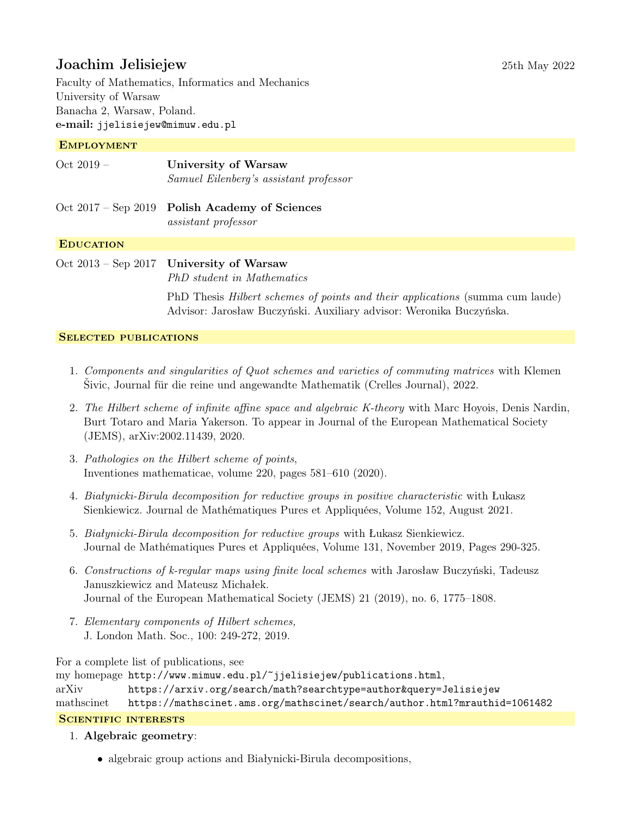# Joachim Jelisiejew 25th May 2022

Faculty of Mathematics, Informatics and Mechanics University of Warsaw Banacha 2, Warsaw, Poland. e-mail: jjelisiejew@mimuw.edu.pl

#### **EMPLOYMENT**

| $Oct 2019 -$     | <b>University of Warsaw</b><br>Samuel Eilenberg's assistant professor    |
|------------------|--------------------------------------------------------------------------|
|                  | Oct $2017$ – Sep 2019 Polish Academy of Sciences<br>assistant professor  |
| <b>EDUCATION</b> |                                                                          |
|                  | Oct $2013$ – Sep 2017 University of Warsaw<br>PhD student in Mathematics |

PhD Thesis Hilbert schemes of points and their applications (summa cum laude) Advisor: Jarosław Buczyński. Auxiliary advisor: Weronika Buczyńska.

#### SELECTED PUBLICATIONS

- 1. Components and singularities of Quot schemes and varieties of commuting matrices with Klemen Šivic, Journal für die reine und angewandte Mathematik (Crelles Journal), 2022.
- 2. The Hilbert scheme of infinite affine space and algebraic K-theory with Marc Hoyois, Denis Nardin, Burt Totaro and Maria Yakerson. To appear in Journal of the European Mathematical Society (JEMS), arXiv:2002.11439, 2020.
- 3. Pathologies on the Hilbert scheme of points, Inventiones mathematicae, volume 220, pages 581–610 (2020).
- 4. Białynicki-Birula decomposition for reductive groups in positive characteristic with Łukasz Sienkiewicz. Journal de Mathématiques Pures et Appliquées, Volume 152, August 2021.
- 5. Białynicki-Birula decomposition for reductive groups with Łukasz Sienkiewicz. Journal de Mathématiques Pures et Appliquées, Volume 131, November 2019, Pages 290-325.
- 6. Constructions of k-regular maps using finite local schemes with Jarosław Buczyński, Tadeusz Januszkiewicz and Mateusz Michałek. Journal of the European Mathematical Society (JEMS) 21 (2019), no. 6, 1775–1808.
- 7. Elementary components of Hilbert schemes, J. London Math. Soc., 100: 249-272, 2019.

For a complete list of publications, see

my homepage <http://www.mimuw.edu.pl/~jjelisiejew/publications.html>,

arXiv <https://arxiv.org/search/math?searchtype=author&query=Jelisiejew>

mathscinet <https://mathscinet.ams.org/mathscinet/search/author.html?mrauthid=1061482>

### SCIENTIFIC INTERESTS

#### 1. Algebraic geometry:

• algebraic group actions and Białynicki-Birula decompositions,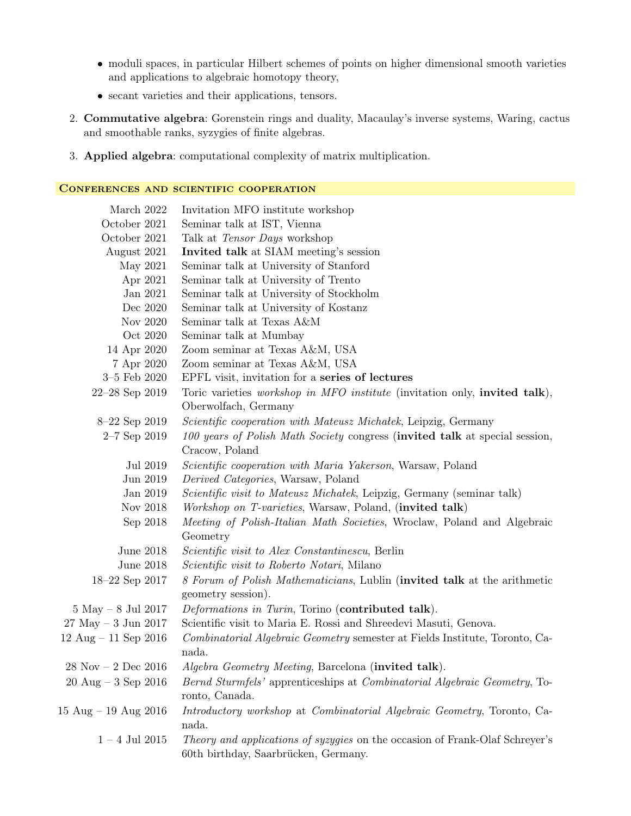- moduli spaces, in particular Hilbert schemes of points on higher dimensional smooth varieties and applications to algebraic homotopy theory,
- secant varieties and their applications, tensors.
- 2. Commutative algebra: Gorenstein rings and duality, Macaulay's inverse systems, Waring, cactus and smoothable ranks, syzygies of finite algebras.
- 3. Applied algebra: computational complexity of matrix multiplication.

#### Conferences and scientific cooperation

| March 2022                              | Invitation MFO institute workshop                                                        |
|-----------------------------------------|------------------------------------------------------------------------------------------|
| October 2021                            | Seminar talk at IST, Vienna                                                              |
| October 2021                            | Talk at Tensor Days workshop                                                             |
| August 2021                             | Invited talk at SIAM meeting's session                                                   |
| May 2021                                | Seminar talk at University of Stanford                                                   |
| Apr 2021                                | Seminar talk at University of Trento                                                     |
| Jan 2021                                | Seminar talk at University of Stockholm                                                  |
| Dec 2020                                | Seminar talk at University of Kostanz                                                    |
| Nov 2020                                | Seminar talk at Texas A&M                                                                |
| Oct 2020                                | Seminar talk at Mumbay                                                                   |
| 14 Apr 2020                             | Zoom seminar at Texas A&M, USA                                                           |
| 7 Apr 2020                              | Zoom seminar at Texas A&M, USA                                                           |
| $3-5$ Feb $2020$                        | EPFL visit, invitation for a series of lectures                                          |
| 22-28 Sep 2019                          | Toric varieties workshop in MFO institute (invitation only, invited talk),               |
|                                         | Oberwolfach, Germany                                                                     |
| 8-22 Sep 2019                           | <i>Scientific cooperation with Mateusz Michalek</i> , Leipzig, Germany                   |
| $2-7$ Sep 2019                          | 100 years of Polish Math Society congress (invited talk at special session,              |
|                                         | Cracow, Poland                                                                           |
| Jul 2019                                | <i>Scientific cooperation with Maria Yakerson</i> , Warsaw, Poland                       |
| Jun 2019                                | Derived Categories, Warsaw, Poland                                                       |
| Jan $2019\,$                            | <i>Scientific visit to Mateusz Michalek</i> , Leipzig, Germany (seminar talk)            |
| Nov 2018                                | <i>Workshop on T-varieties</i> , Warsaw, Poland, <i>(invited talk)</i>                   |
| Sep 2018                                | Meeting of Polish-Italian Math Societies, Wroclaw, Poland and Algebraic                  |
|                                         | Geometry                                                                                 |
| June 2018                               | <i>Scientific visit to Alex Constantinescu</i> , Berlin                                  |
| June 2018                               | <i>Scientific visit to Roberto Notari</i> , Milano                                       |
| 18-22 Sep 2017                          | 8 Forum of Polish Mathematicians, Lublin (invited talk at the arithmetic                 |
|                                         | geometry session).                                                                       |
| $5$ May $-$ 8 Jul 2017                  | Deformations in Turin, Torino (contributed talk).                                        |
| $27$ May $-3$ Jun $2017$                | Scientific visit to Maria E. Rossi and Shreedevi Masuti, Genova.                         |
| 12 Aug $-$ 11 Sep 2016                  | Combinatorial Algebraic Geometry semester at Fields Institute, Toronto, Ca-              |
|                                         | nada.                                                                                    |
| $28$ Nov – $2$ Dec $2016$               | Algebra Geometry Meeting, Barcelona (invited talk).                                      |
| $20 \text{ Aug} - 3 \text{ Sep } 2016$  | <i>Bernd Sturmfels'</i> apprenticeships at <i>Combinatorial Algebraic Geometry</i> , To- |
|                                         | ronto, Canada.                                                                           |
| $15 \text{ Aug} - 19 \text{ Aug } 2016$ | Introductory workshop at Combinatorial Algebraic Geometry, Toronto, Ca-                  |
|                                         | nada.                                                                                    |
| $1$ – $4$ Jul $2015\,$                  | <i>Theory and applications of syzygies</i> on the occasion of Frank-Olaf Schreyer's      |
|                                         | 60th birthday, Saarbrücken, Germany.                                                     |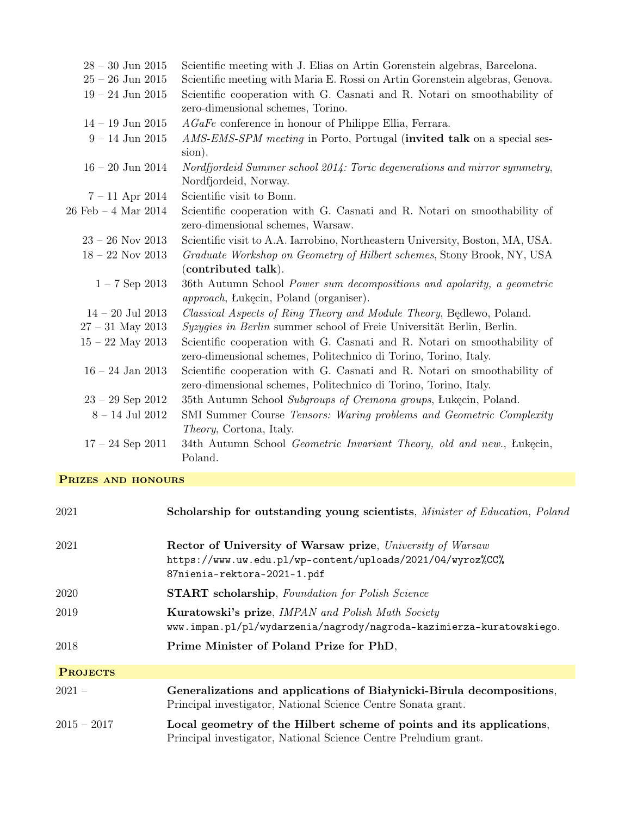| $28 - 30$ Jun $2015$                   | Scientific meeting with J. Elias on Artin Gorenstein algebras, Barcelona.                                                                    |
|----------------------------------------|----------------------------------------------------------------------------------------------------------------------------------------------|
| $25 - 26$ Jun 2015                     | Scientific meeting with Maria E. Rossi on Artin Gorenstein algebras, Genova.                                                                 |
| $19 - 24$ Jun 2015                     | Scientific cooperation with G. Casnati and R. Notari on smoothability of                                                                     |
|                                        | zero-dimensional schemes, Torino.                                                                                                            |
| $14 - 19$ Jun $2015$                   | $AGaFe$ conference in honour of Philippe Ellia, Ferrara.                                                                                     |
| $9 - 14$ Jun 2015                      | AMS-EMS-SPM meeting in Porto, Portugal (invited talk on a special ses-<br>sion).                                                             |
| $16 - 20$ Jun 2014                     | Nordfjordeid Summer school 2014: Toric degenerations and mirror symmetry,<br>Nordfjordeid, Norway.                                           |
| $7 - 11$ Apr 2014                      | Scientific visit to Bonn.                                                                                                                    |
| $26 \text{ Feb} - 4 \text{ Mar } 2014$ | Scientific cooperation with G. Casnati and R. Notari on smoothability of<br>zero-dimensional schemes, Warsaw.                                |
| $23 - 26$ Nov 2013                     | Scientific visit to A.A. Iarrobino, Northeastern University, Boston, MA, USA.                                                                |
| $18 - 22$ Nov 2013                     | Graduate Workshop on Geometry of Hilbert schemes, Stony Brook, NY, USA<br>(contributed talk).                                                |
| $1 - 7$ Sep 2013                       | 36th Autumn School Power sum decompositions and apolarity, a geometric<br><i>approach</i> , <i>Lukecin</i> , <i>Poland</i> (organiser).      |
| $14 - 20$ Jul 2013                     | Classical Aspects of Ring Theory and Module Theory, Bedlewo, Poland.                                                                         |
| $27 - 31$ May 2013                     | Syzygies in Berlin summer school of Freie Universität Berlin, Berlin.                                                                        |
| $15 - 22$ May 2013                     | Scientific cooperation with G. Casnati and R. Notari on smoothability of<br>zero-dimensional schemes, Politechnico di Torino, Torino, Italy. |
| $16$ – $24$ Jan $2013\,$               | Scientific cooperation with G. Casnati and R. Notari on smoothability of<br>zero-dimensional schemes, Politechnico di Torino, Torino, Italy. |
| $23 - 29$ Sep 2012                     | 35th Autumn School Subgroups of Cremona groups, Lukecin, Poland.                                                                             |
| $8 - 14$ Jul 2012                      | SMI Summer Course Tensors: Waring problems and Geometric Complexity<br><i>Theory</i> , Cortona, Italy.                                       |
| $17 - 24$ Sep 2011                     | 34th Autumn School Geometric Invariant Theory, old and new., Łukęcin,<br>Poland.                                                             |

## PRIZES AND HONOURS

| 2021            | Scholarship for outstanding young scientists, Minister of Education, Poland                                                                             |
|-----------------|---------------------------------------------------------------------------------------------------------------------------------------------------------|
| 2021            | Rector of University of Warsaw prize, University of Warsaw<br>https://www.uw.edu.pl/wp-content/uploads/2021/04/wyroz%CC%<br>87nienia-rektora-2021-1.pdf |
| 2020            | <b>START</b> scholarship, Foundation for Polish Science                                                                                                 |
| 2019            | <b>Kuratowski's prize, IMPAN and Polish Math Society</b><br>www.impan.pl/pl/wydarzenia/nagrody/nagroda-kazimierza-kuratowskiego.                        |
| 2018            | Prime Minister of Poland Prize for PhD,                                                                                                                 |
| <b>PROJECTS</b> |                                                                                                                                                         |
| $2021 -$        | Generalizations and applications of Białynicki-Birula decompositions,<br>Principal investigator, National Science Centre Sonata grant.                  |
| $2015 - 2017$   | Local geometry of the Hilbert scheme of points and its applications,<br>Principal investigator, National Science Centre Preludium grant.                |